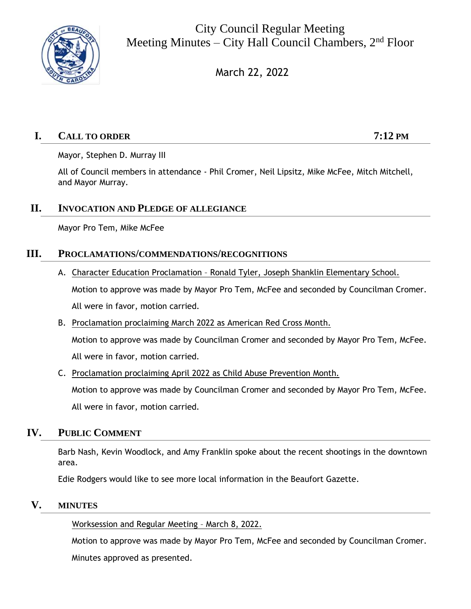

City Council Regular Meeting Meeting Minutes – City Hall Council Chambers,  $2<sup>nd</sup>$  Floor

March 22, 2022

# **I. CALL TO ORDER 7:12 PM**

Mayor, Stephen D. Murray III

All of Council members in attendance - Phil Cromer, Neil Lipsitz, Mike McFee, Mitch Mitchell, and Mayor Murray.

## **II. INVOCATION AND PLEDGE OF ALLEGIANCE**

Mayor Pro Tem, Mike McFee

## **III. PROCLAMATIONS/COMMENDATIONS/RECOGNITIONS**

- A. Character Education Proclamation Ronald Tyler, Joseph Shanklin Elementary School. Motion to approve was made by Mayor Pro Tem, McFee and seconded by Councilman Cromer. All were in favor, motion carried.
- B. Proclamation proclaiming March 2022 as American Red Cross Month. Motion to approve was made by Councilman Cromer and seconded by Mayor Pro Tem, McFee. All were in favor, motion carried.
- C. Proclamation proclaiming April 2022 as Child Abuse Prevention Month. Motion to approve was made by Councilman Cromer and seconded by Mayor Pro Tem, McFee. All were in favor, motion carried.

# **IV. PUBLIC COMMENT**

Barb Nash, Kevin Woodlock, and Amy Franklin spoke about the recent shootings in the downtown area.

Edie Rodgers would like to see more local information in the Beaufort Gazette.

## **V. MINUTES**

Worksession and Regular Meeting – March 8, 2022.

Motion to approve was made by Mayor Pro Tem, McFee and seconded by Councilman Cromer.

Minutes approved as presented.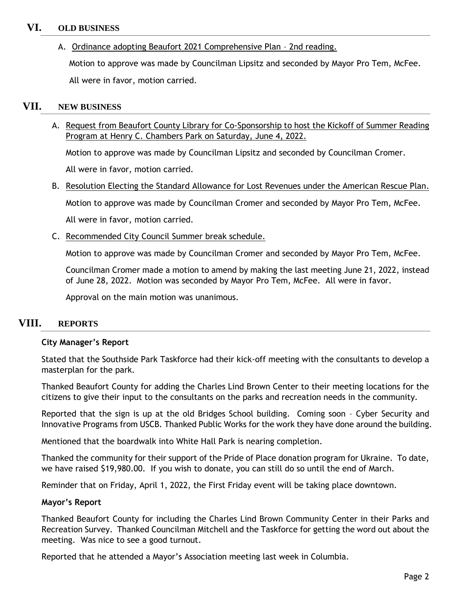### **VI. OLD BUSINESS**

A. Ordinance adopting Beaufort 2021 Comprehensive Plan – 2nd reading.

Motion to approve was made by Councilman Lipsitz and seconded by Mayor Pro Tem, McFee. All were in favor, motion carried.

### **VII. NEW BUSINESS**

A. Request from Beaufort County Library for Co-Sponsorship to host the Kickoff of Summer Reading Program at Henry C. Chambers Park on Saturday, June 4, 2022.

Motion to approve was made by Councilman Lipsitz and seconded by Councilman Cromer.

All were in favor, motion carried.

B. Resolution Electing the Standard Allowance for Lost Revenues under the American Rescue Plan.

Motion to approve was made by Councilman Cromer and seconded by Mayor Pro Tem, McFee.

All were in favor, motion carried.

C. Recommended City Council Summer break schedule.

Motion to approve was made by Councilman Cromer and seconded by Mayor Pro Tem, McFee.

Councilman Cromer made a motion to amend by making the last meeting June 21, 2022, instead of June 28, 2022. Motion was seconded by Mayor Pro Tem, McFee. All were in favor.

Approval on the main motion was unanimous.

## **VIII. REPORTS**

#### **City Manager's Report**

Stated that the Southside Park Taskforce had their kick-off meeting with the consultants to develop a masterplan for the park.

Thanked Beaufort County for adding the Charles Lind Brown Center to their meeting locations for the citizens to give their input to the consultants on the parks and recreation needs in the community.

Reported that the sign is up at the old Bridges School building. Coming soon – Cyber Security and Innovative Programs from USCB. Thanked Public Works for the work they have done around the building.

Mentioned that the boardwalk into White Hall Park is nearing completion.

Thanked the community for their support of the Pride of Place donation program for Ukraine. To date, we have raised \$19,980.00. If you wish to donate, you can still do so until the end of March.

Reminder that on Friday, April 1, 2022, the First Friday event will be taking place downtown.

#### **Mayor's Report**

Thanked Beaufort County for including the Charles Lind Brown Community Center in their Parks and Recreation Survey. Thanked Councilman Mitchell and the Taskforce for getting the word out about the meeting. Was nice to see a good turnout.

Reported that he attended a Mayor's Association meeting last week in Columbia.